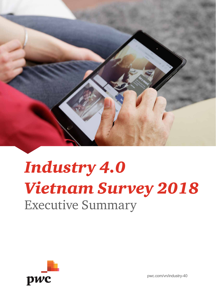

# *Industry 4.0 Vietnam Survey 2018* Executive Summary



pwc.com/vn/industry-40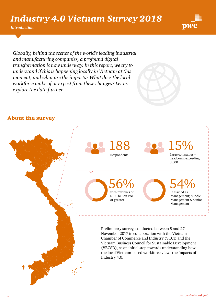*Introduction*



*Globally, behind the scenes of the world's leading industrial and manufacturing companies, a profound digital transformation is now underway. In this report, we try to understand if this is happening locally in Vietnam at this moment, and what are the impacts? What does the local workforce make of or expect from these changes? Let us explore the data further.*

## About the survey

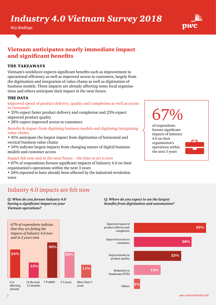*Key findings*



## Vietnam anticipates nearly immediate impact and significant benefits

#### THE TAKEAWAYS

Vietnam's workforce expects significant benefits such as improvement in operational efficiency as well as improved access to customers, largely from the digitisation and integration of value chains as well as digitisation of business models. These impacts are already affecting some local organisations and others anticipate their impact in the near future.

#### THE DATA

Improved speed of product delivery, quality and completion as well as access to customers

- 35% expect faster product delivery and completion and 23% expect improved product quality
- 28% expect improved access to customers

#### Benefits & impact from digitising business models and digitising/integrating value chains

- 41% anticipate the largest impact from digitisation of horizontal and vertical business value chains
- 34% indicate largest impacts from changing nature of digital business models and customer access

#### Impact felt now and in the near future – the time to act is now

• 67% of respondents foresee significant impacts of Industry 4.0 on their organisation's operations within the next 3 years

• 24% reported to have already been affected by the industrial revolution wave

# 67%

of respondents foresee significant impacts of Industry 4.0 on their organisation's operations within the next 3 years



### Industry 4.0 impacts are felt now

*Q: When do you foresee Industry 4.0 having a significant impact on your Vietnam operations?* 

*Q: Where do you expect to see the largest benefits from digitisation and automation?*

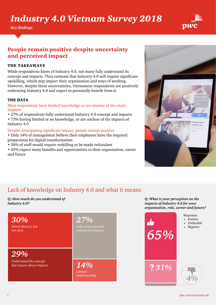*Key findings*



## People remain positive despite uncertainty and perceived impact

#### THE TAKEAWAYS

While respondents know of Industry 4.0, not many fully understand its concept and impacts. They estimate that Industry 4.0 will require significant upskilling, which may impact their organisation and ways of working. However, despite these uncertainties, Vietnamese respondents are positively embracing Industry 4.0 and expect to personally benefit from it.

#### THE DATA

#### Most respondents have limited knowledge or are unclear of the exact impacts

- 27% of respondents fully understand Industry 4.0 concept and impacts
- 73% having limited or no knowledge, or are unclear of the impacts of Industry 4.0

#### Despite anticipating significant impact, people remain positive

- Only 14% of management believe their employees have the required preparation for digital transformation
- 50% of staff would require reskilling or be made redundant
- 65% expect many benefits and opportunities to their organisation, career and future



# Lack of knowledge on Industry 4.0 and what it means

*Q: How much do you understand of Industry 4.0?* 



*Q: What is your perception on the impacts of Industry 4.0 for your organisation, role, career and future?* 

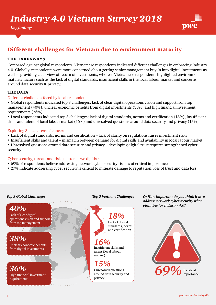

## Different challenges for Vietnam due to environment maturity

#### THE TAKEAWAYS

Compared against global respondents, Vietnamese respondents indicated different challenges in embracing Industry 4.0. Globally, respondents were more concerned about getting senior management buy-in into digital investments as well as providing clear view of return of investments, whereas Vietnamese respondents highlighted environment maturity factors such as the lack of digital standards, insufficient skills in the local labour market and concerns around data security & privacy.

#### THE DATA

#### Different challenges faced by local respondents

• Global respondents indicated top 3 challenges: lack of clear digital operations vision and support from top management (40%), unclear economic benefits from digital investments (38%) and high financial investment requirements (36%)

• Local respondents indicated top 3 challenges; lack of digital standards, norms and certification (18%), insufficient skills and talent of local labour market (16%) and unresolved questions around data security and privacy (15%)

#### Exploring 3 local areas of concern

- Lack of digital standards, norms and certification lack of clarity on regulations raises investment risks
- Insufficient skills and talent mismatch between demand for digital skills and availability in local labour market
- Unresolved questions around data security and privacy developing digital trust requires strengthened cyber security

#### Cyber security, threats and risks matter as we digitise

- 69% of respondents believe addressing network cyber security risks is of critical importance
- 27% indicate addressing cyber security is critical to mitigate damage to reputation, loss of trust and data loss

#### *Top 3 Global Challenges Top 3 Vietnam Challenges*

Lack of clear digital

operations vision and support from top management

Unclear economic benefits from digital investments

High financial investment

*40%*

*38%*

*36%*

requirements



Unresolved questions around data security and privacy

*Q: How important do you think it is to address network cyber security when planning for Industry 4.0?*

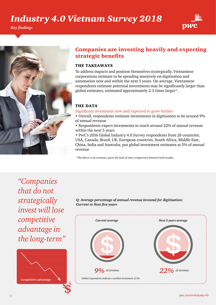*Key findings*





### Companies are investing heavily and expecting strategic benefits

#### THE TAKEAWAYS

To address impacts and position themselves strategically, Vietnamese corporations estimate to be spending massively on digitisation and automation now and within the next 5 years. On average, Vietnamese respondents estimate potential investments may be significantly larger than global estimates, estimated approximately 2-3 times larger\*.

#### THE DATA

Significant investment now and expected to grow further

- Overall, respondents estimate investments in digitisation to be around 9% of annual revenue
- Respondents expect investments to reach around 22% of annual revenue within the next 5 years

• PwC's 2016 Global Industry 4.0 Survey respondents from 26 countries; USA, Canada, Brazil, UK, European countries, South Africa, Middle East, China, India and Australia, put global investment estimates at 5% of annual revenue

*\*The above is an estimate, given the lack of clear comparison between both studies.*

*"Companies that do not strategically invest will lose competitive advantage in the long-term"*



*Q: Average percentage of annual revenue invested for digitisation: Current vs Next five years*

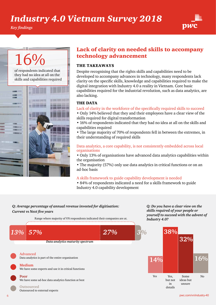*Key findings*



# 16%

of respondents indicated that they had no idea at all on the skills and capabilities required



### Lack of clarity on needed skills to accompany technology advancement

#### THE TAKEAWAYS

Despite recognising that the rights skills and capabilities need to be developed to accompany advances in technology, many respondents lack clarity on the specific skills, knowledge and capabilities required to make the digital integration with Industry 4.0 a reality in Vietnam. Core basic capabilities required for the industrial revolution, such as data analytics, are also lacking.

#### THE DATA

Lack of clarity in the workforce of the specifically required skills to succeed

• Only 14% believed that they and their employees have a clear view of the skills required for digital transformation

• 16% of respondents indicated that they had no idea at all on the skills and capabilities required

• The large majority of 70% of respondents fell in between the extremes, in their understanding of required skills

Data analytics, a core capability, is not consistently embedded across local organisations

• Only 13% of organisations have advanced data analytics capabilities within the organisation

• The majority (57%) only use data analytics in critical functions or on an ad-hoc basis

#### A skills framework to guide capability development is needed

• 84% of respondents indicated a need for a skills framework to guide Industry 4.0 capability development

#### *Q: Average percentage of annual revenue invested for digitisation: Current vs Next five years*

Range where majority of VN respondents indicated their companies are at.

*Q: Do you have a clear view on the skills required of your people or yourself to succeed with the advent of Industry 4.0?*

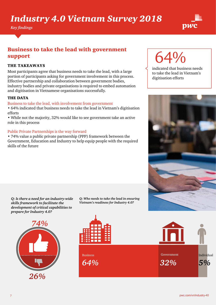*Key findings*



## Business to take the lead with government support

#### THE TAKEAWAYS

Most participants agree that business needs to take the lead, with a large portion of participants asking for government involvement in this process. Effective partnership and collaboration between government bodies, industry bodies and private organisations is required to embed automation and digitisation in Vietnamese organisations successfully.

#### THE DATA

#### Business to take the lead, with involvement from government

• 64% indicated that business needs to take the lead in Vietnam's digitisation efforts

• While not the majority, 32% would like to see government take an active role in this process

#### Public Private Partnerships is the way forward

• 74% value a public private partnership (PPP) framework between the Government, Education and Industry to help equip people with the required skills of the future

> *Q: Who needs to take the lead in ensuring Vietnam's readiness for Industry 4.0?*



*Q: Is there a need for an industry-wide skills framework to facilitate the development of critical capabilities to* 

*prepare for Industry 4.0?*







# 64%

indicated that business needs to take the lead in Vietnam's digitisation efforts